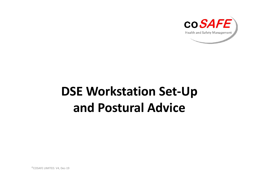

## **DSE Workstation Set-Up and Postural Advice**

©COSAFE LIMITED. V4, Dec-19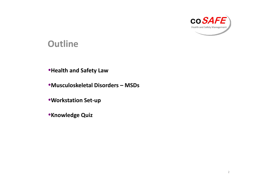

#### **Outline**

#### •**Health and Safety Law**

•**Musculoskeletal Disorders – MSDs**

•**Workstation Set-up**

•**Knowledge Quiz**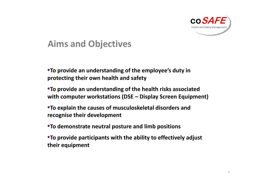

### **Aims and Objectives**

- •**To provide an understanding of the employee's duty in protecting their own health and safety**
- •**To provide an understanding of the health risks associated with computer workstations (DSE – Display Screen Equipment)**
- •**To explain the causes of musculoskeletal disorders and recognise their development**
- •**To demonstrate neutral posture and limb positions**
- •**To provide participants with the ability to effectively adjust their equipment**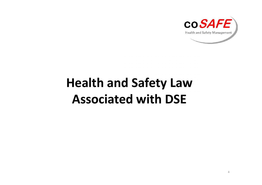

# **Health and Safety Law Associated with DSE**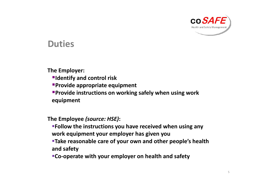

#### **Duties**

#### **The Employer:**

- **Identify and control risk**
- **Provide appropriate equipment**
- **Provide instructions on working safely when using work equipment**

#### **The Employee** *(source: HSE)***:**

- **Follow the instructions you have received when using any work equipment your employer has given you**
- **Take reasonable care of your own and other people's health and safety**
- **Co-operate with your employer on health and safety**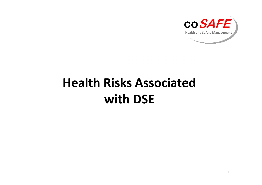

# **Health Risks Associated with DSE**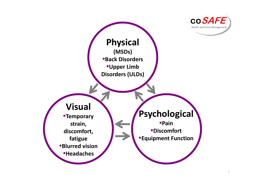

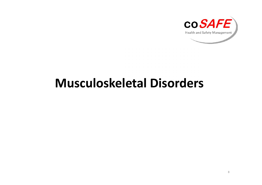

## **Musculoskeletal Disorders**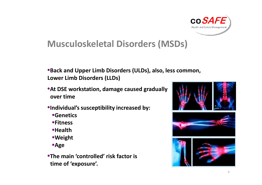

### **Musculoskeletal Disorders (MSDs)**

- •**Back and Upper Limb Disorders (ULDs), also, less common, Lower Limb Disorders (LLDs)**
- •**At DSE workstation, damage caused gradually over time**
- •**Individual's susceptibility increased by:**
	- **Genetics**
	- **Fitness**
	- **Health**
	- **Weight**
	- **Age**
- •**The main 'controlled' risk factor is time of 'exposure'.**



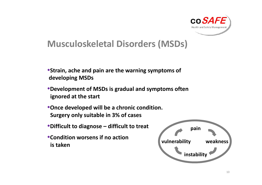

### **Musculoskeletal Disorders (MSDs)**

- •**Strain, ache and pain are the warning symptoms of developing MSDs**
- •**Development of MSDs is gradual and symptoms often ignored at the start**
- •**Once developed will be a chronic condition. Surgery only suitable in 3% of cases**
- •**Difficult to diagnose – difficult to treat**
- •**Condition worsens if no action is taken**

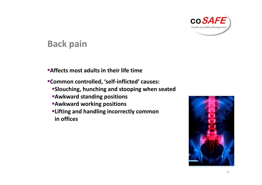

#### **Back pain**

- •**Affects most adults in their life time**
- •**Common controlled, 'self-inflicted' causes:**
	- **Slouching, hunching and stooping when seated**
	- **Awkward standing positions**
	- **Awkward working positions**
	- **Lifting and handling incorrectly common in offices**

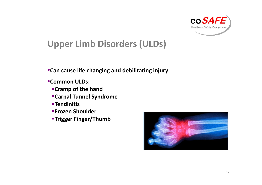

### **Upper Limb Disorders (ULDs)**

•**Can cause life changing and debilitating injury**

- •**Common ULDs:**
	- **Cramp of the hand**
	- **Carpal Tunnel Syndrome**
	- **Tendinitis**
	- **Frozen Shoulder**
	- **Trigger Finger/Thumb**

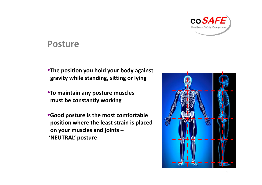

#### **Posture**

- •**The position you hold your body against gravity while standing, sitting or lying**
- •**To maintain any posture muscles must be constantly working**
- •**Good posture is the most comfortable position where the least strain is placed on your muscles and joints – 'NEUTRAL' posture**

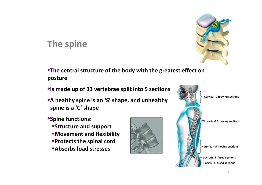

### **The spine**

•**The central structure of the body with the greatest effect on posture**

- •**Is made up of 33 vertebrae split into 5 sections**
- •**A healthy spine is an 'S' shape, and unhealthy spine is a 'C' shape**
- •**Spine functions:**
	- **Structure and support**
	- **Movement and flexibility**
	- **Protects the spinal cord**
	- **Absorbs load stresses**



**Cervical -7 moving sections**



**Lumbar -5 moving sections**

**Sacrum -5 fused sections Coccyx -4 fused sections**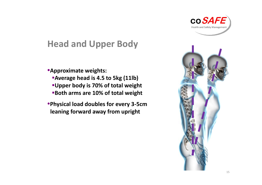

### **Head and Upper Body**

•**Approximate weights:**

- **Average head is 4.5 to 5kg (11lb)**
- **Upper body is 70% of total weight**
- **Both arms are 10% of total weight**
- •**Physical load doubles for every 3-5cm leaning forward away from upright**

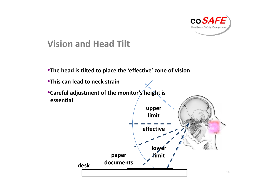

### **Vision and Head Tilt**

- •**The head is tilted to place the 'effective' zone of vision**
- •**This can lead to neck strain**
- •**Careful adjustment of the monitor's height is essential**

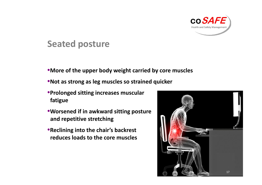

### **Seated posture**

- •**More of the upper body weight carried by core muscles**
- •**Not as strong as leg muscles so strained quicker**
- •**Prolonged sitting increases muscular fatigue**
- •**Worsened if in awkward sitting posture and repetitive stretching**
- •**Reclining into the chair's backrest reduces loads to the core muscles**

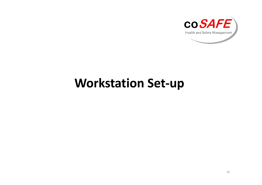

## **Workstation Set-up**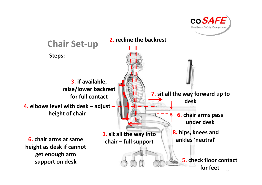

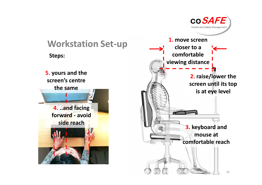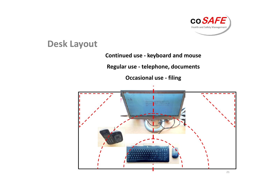

### **Desk Layout**

#### **Continued use - keyboard and mouse**

**Regular use - telephone, documents**

**Occasional use - filing**

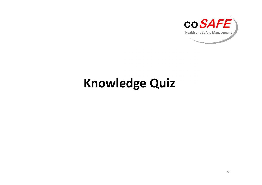

## **Knowledge Quiz**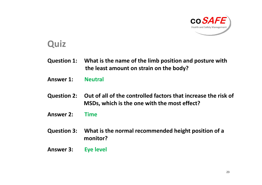

#### **Quiz**

- **Question 1: What is the name of the limb position and posture with the least amount on strain on the body?**
- **Answer 1: Neutral**
- **Question 2: Out of all of the controlled factors that increase the risk of MSDs, which is the one with the most effect?**
- **Answer 2: Time**
- **Question 3: What is the normal recommended height position of a monitor?**
- **Answer 3: Eye level**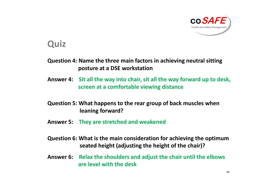

#### **Quiz**

**Question 4: Name the three main factors in achieving neutral sitting posture at a DSE workstation**

- **Answer 4: Sit all the way into chair, sit all the way forward up to desk, screen at a comfortable viewing distance**
- **Question 5: What happens to the rear group of back muscles when leaning forward?**
- **Answer 5: They are stretched and weakened**
- **Question 6: What is the main consideration for achieving the optimum seated height (adjusting the height of the chair)?**
- **Answer 6: Relax the shoulders and adjust the chair until the elbows are level with the desk**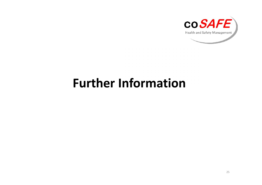

## **Further Information**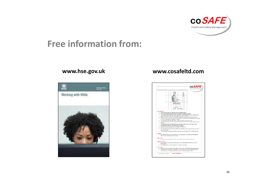

### **Free information from:**

#### **www.hse.gov.uk**



#### **www.cosafeltd.com**

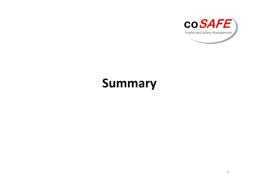

## **Summary**